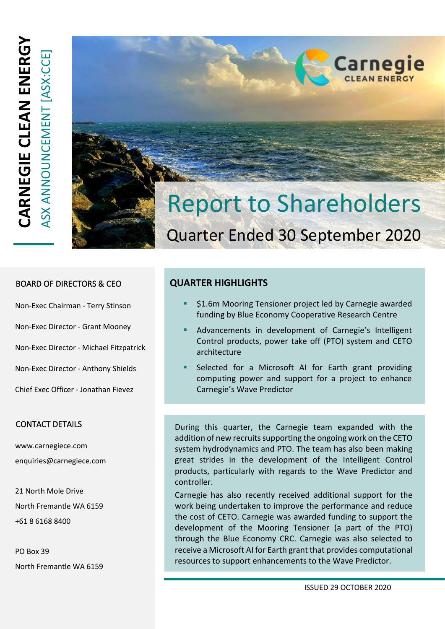

#### BOARD OF DIRECTORS & CEO

Non-Exec Chairman - Terry Stinson

Non-Exec Director - Grant Mooney

Non-Exec Director - Michael Fitzpatrick

Non-Exec Director - Anthony Shields

Chief Exec Officer - Jonathan Fievez

#### CONTACT DETAILS

 www.carnegiece.com enquiries@carnegiece.com

 21 North Mole Drive North Fremantle WA 6159 +61 8 6168 8400

 PO Box 39 North Fremantle WA 6159

#### **QUARTER HIGHLIGHTS**

- \$1.6m Mooring Tensioner project led by Carnegie awarded funding by Blue Economy Cooperative Research Centre
- Advancements in development of Carnegie's Intelligent Control products, power take off (PTO) system and CETO architecture
- Selected for a Microsoft AI for Earth grant providing computing power and support for a project to enhance Carnegie's Wave Predictor

During this quarter, the Carnegie team expanded with the addition of new recruits supporting the ongoing work on the CETO system hydrodynamics and PTO. The team has also been making great strides in the development of the Intelligent Control products, particularly with regards to the Wave Predictor and controller.

Carnegie has also recently received additional support for the work being undertaken to improve the performance and reduce the cost of CETO. Carnegie was awarded funding to support the development of the Mooring Tensioner (a part of the PTO) through the Blue Economy CRC. Carnegie was also selected to receive a Microsoft AI for Earth grant that provides computational resources to support enhancements to the Wave Predictor.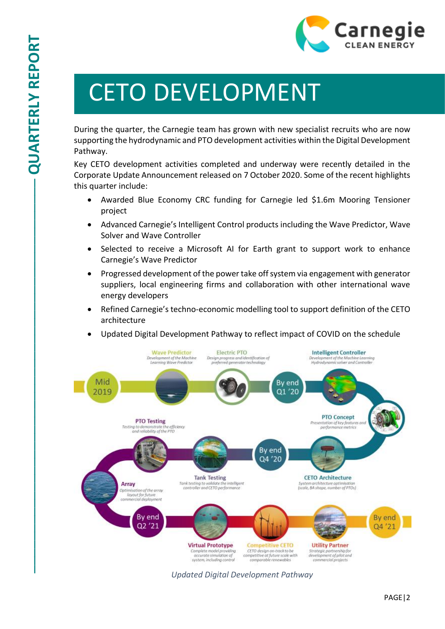

# CETO DEVELOPMENT

During the quarter, the Carnegie team has grown with new specialist recruits who are now supporting the hydrodynamic and PTO development activities within the Digital Development Pathway.

Key CETO development activities completed and underway were recently detailed in the Corporate Update Announcement released on 7 October 2020. Some of the recent highlights this quarter include:

- Awarded Blue Economy CRC funding for Carnegie led \$1.6m Mooring Tensioner project
- Advanced Carnegie's Intelligent Control products including the Wave Predictor, Wave Solver and Wave Controller
- Selected to receive a Microsoft AI for Earth grant to support work to enhance Carnegie's Wave Predictor
- Progressed development of the power take off system via engagement with generator suppliers, local engineering firms and collaboration with other international wave energy developers
- Refined Carnegie's techno-economic modelling tool to support definition of the CETO architecture
- Updated Digital Development Pathway to reflect impact of COVID on the schedule



*Updated Digital Development Pathway*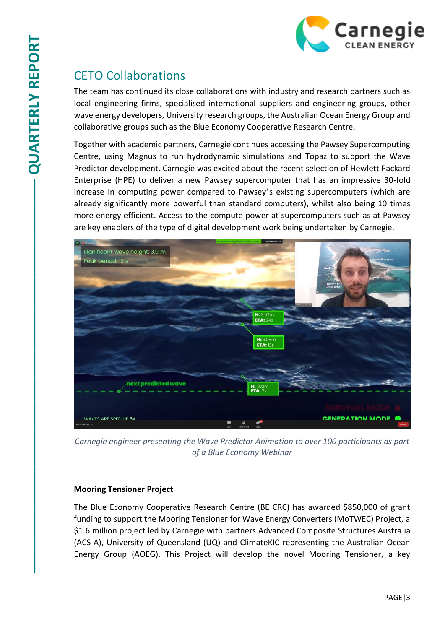### CETO Collaborations

The team has continued its close collaborations with industry and research partners such as local engineering firms, specialised international suppliers and engineering groups, other wave energy developers, University research groups, the Australian Ocean Energy Group and collaborative groups such as the Blue Economy Cooperative Research Centre.

Together with academic partners, Carnegie continues accessing the Pawsey Supercomputing Centre, using Magnus to run hydrodynamic simulations and Topaz to support the Wave Predictor development. Carnegie was excited about the recent selection of Hewlett Packard Enterprise (HPE) to deliver a new Pawsey supercomputer that has an impressive 30-fold increase in computing power compared to Pawsey's existing supercomputers (which are already significantly more powerful than standard computers), whilst also being 10 times more energy efficient. Access to the compute power at supercomputers such as at Pawsey are key enablers of the type of digital development work being undertaken by Carnegie.



*Carnegie engineer presenting the Wave Predictor Animation to over 100 participants as part of a Blue Economy Webinar*

#### **Mooring Tensioner Project**

The Blue Economy Cooperative Research Centre (BE CRC) has awarded \$850,000 of grant funding to support the Mooring Tensioner for Wave Energy Converters (MoTWEC) Project, a \$1.6 million project led by Carnegie with partners Advanced Composite Structures Australia (ACS-A), University of Queensland (UQ) and ClimateKIC representing the Australian Ocean Energy Group (AOEG). This Project will develop the novel Mooring Tensioner, a key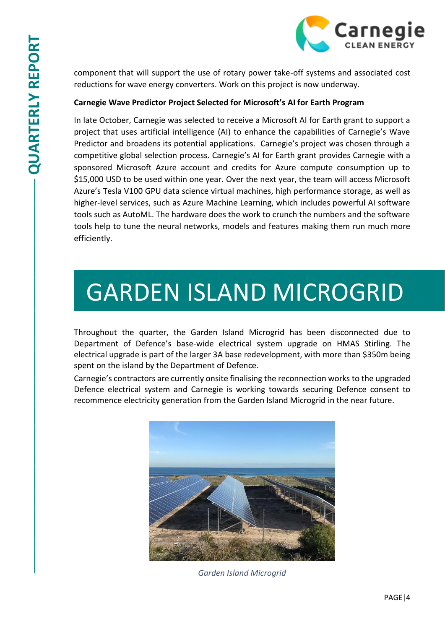

component that will support the use of rotary power take-off systems and associated cost reductions for wave energy converters. Work on this project is now underway.

#### **Carnegie Wave Predictor Project Selected for Microsoft's AI for Earth Program**

■<br>
CELAR ENERGY CONSULTS IN SURPORT CONSULTS IN SURPORT CONSULTS IN SURPORT CONSULTS IN CONSULTS IN CONSULTS IN SURPORT CONSULTS IN THE SURPORT CONSULTS IN THE SURPORT CONSULTS IN THE SURPORT CONSULTS IN THE SURPORT CO In late October, Carnegie was selected to receive a Microsoft AI for Earth grant to support a project that uses artificial intelligence (AI) to enhance the capabilities of Carnegie's Wave Predictor and broadens its potential applications. Carnegie's project was chosen through a competitive global selection process. Carnegie's AI for Earth grant provides Carnegie with a sponsored Microsoft Azure account and credits for Azure compute consumption up to \$15,000 USD to be used within one year. Over the next year, the team will access Microsoft Azure's Tesla V100 GPU data science virtual machines, high performance storage, as well as higher-level services, such as Azure Machine Learning, which includes powerful AI software tools such as AutoML. The hardware does the work to crunch the numbers and the software tools help to tune the neural networks, models and features making them run much more efficiently.

## GARDEN ISLAND MICROGRID

Throughout the quarter, the Garden Island Microgrid has been disconnected due to Department of Defence's base-wide electrical system upgrade on HMAS Stirling. The electrical upgrade is part of the larger 3A base redevelopment, with more than \$350m being spent on the island by the Department of Defence.

Carnegie's contractors are currently onsite finalising the reconnection works to the upgraded Defence electrical system and Carnegie is working towards securing Defence consent to recommence electricity generation from the Garden Island Microgrid in the near future.



*Garden Island Microgrid*